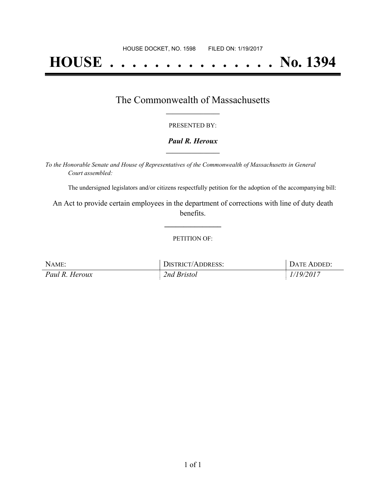# **HOUSE . . . . . . . . . . . . . . . No. 1394**

## The Commonwealth of Massachusetts **\_\_\_\_\_\_\_\_\_\_\_\_\_\_\_\_\_**

#### PRESENTED BY:

#### *Paul R. Heroux* **\_\_\_\_\_\_\_\_\_\_\_\_\_\_\_\_\_**

*To the Honorable Senate and House of Representatives of the Commonwealth of Massachusetts in General Court assembled:*

The undersigned legislators and/or citizens respectfully petition for the adoption of the accompanying bill:

An Act to provide certain employees in the department of corrections with line of duty death benefits.

**\_\_\_\_\_\_\_\_\_\_\_\_\_\_\_**

#### PETITION OF:

| NAME:          | <b>DISTRICT/ADDRESS:</b> | DATE ADDED: |
|----------------|--------------------------|-------------|
| Paul R. Heroux | 2nd Bristol              | 1/19/2017   |